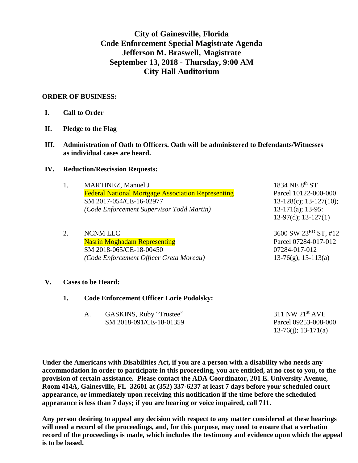**City of Gainesville, Florida Code Enforcement Special Magistrate Agenda Jefferson M. Braswell, Magistrate September 13, 2018 - Thursday, 9:00 AM City Hall Auditorium**

## **ORDER OF BUSINESS:**

- **I. Call to Order**
- **II. Pledge to the Flag**
- **III. Administration of Oath to Officers. Oath will be administered to Defendants/Witnesses as individual cases are heard.**

### **IV. Reduction/Rescission Requests:**

|  | 1. | <b>MARTINEZ, Manuel J</b>                                 | 1834 NE 8th ST                   |
|--|----|-----------------------------------------------------------|----------------------------------|
|  |    | <b>Federal National Mortgage Association Representing</b> | Parcel 10122-000-000             |
|  |    | SM 2017-054/CE-16-02977                                   | $13-128(c)$ ; 13-127(10);        |
|  |    | (Code Enforcement Supervisor Todd Martin)                 | $13-171(a); 13-95:$              |
|  |    |                                                           | $13-97(d)$ ; $13-127(1)$         |
|  | 2. | <b>NCNM LLC</b>                                           | 3600 SW 23 <sup>RD</sup> ST, #12 |
|  |    | <b>Nasrin Moghadam Representing</b>                       | Parcel 07284-017-012             |
|  |    | SM 2018-065/CE-18-00450                                   | 07284-017-012                    |
|  |    |                                                           |                                  |
|  |    | (Code Enforcement Officer Greta Moreau)                   | $13-76(g)$ ; 13-113(a)           |

### **V. Cases to be Heard:**

**1. Code Enforcement Officer Lorie Podolsky:**

| GASKINS, Ruby "Trustee" | $311$ NW $21st$ AVE  |
|-------------------------|----------------------|
| SM 2018-091/CE-18-01359 | Parcel 09253-008-000 |
|                         | 13-76(j); 13-171(a)  |

**Under the Americans with Disabilities Act, if you are a person with a disability who needs any accommodation in order to participate in this proceeding, you are entitled, at no cost to you, to the provision of certain assistance. Please contact the ADA Coordinator, 201 E. University Avenue, Room 414A, Gainesville, FL 32601 at (352) 337-6237 at least 7 days before your scheduled court appearance, or immediately upon receiving this notification if the time before the scheduled appearance is less than 7 days; if you are hearing or voice impaired, call 711.**

**Any person desiring to appeal any decision with respect to any matter considered at these hearings will need a record of the proceedings, and, for this purpose, may need to ensure that a verbatim record of the proceedings is made, which includes the testimony and evidence upon which the appeal is to be based.**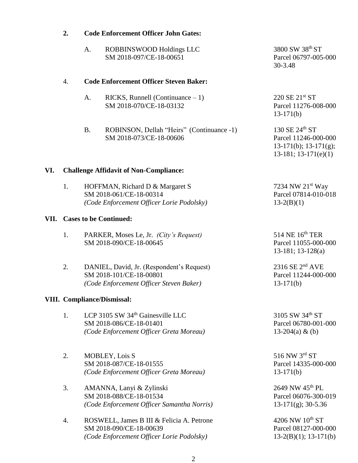|      | 2.                                            | <b>Code Enforcement Officer John Gates:</b>                                                                        |                                                                                                    |  |  |  |
|------|-----------------------------------------------|--------------------------------------------------------------------------------------------------------------------|----------------------------------------------------------------------------------------------------|--|--|--|
|      |                                               | A.<br>ROBBINSWOOD Holdings LLC<br>SM 2018-097/CE-18-00651                                                          | 3800 SW 38th ST<br>Parcel 06797-005-000<br>30-3.48                                                 |  |  |  |
|      | $\overline{4}$ .                              | <b>Code Enforcement Officer Steven Baker:</b>                                                                      |                                                                                                    |  |  |  |
|      |                                               | $RICKS$ , Runnell (Continuance $-1$ )<br>A.<br>SM 2018-070/CE-18-03132                                             | 220 SE 21 <sup>st</sup> ST<br>Parcel 11276-008-000<br>$13-171(b)$                                  |  |  |  |
|      |                                               | <b>B.</b><br>ROBINSON, Dellah "Heirs" (Continuance -1)<br>SM 2018-073/CE-18-00606                                  | 130 SE 24th ST<br>Parcel 11246-000-000<br>$13-171(b)$ ; $13-171(g)$ ;<br>$13-181$ ; $13-171(e)(1)$ |  |  |  |
| VI.  | <b>Challenge Affidavit of Non-Compliance:</b> |                                                                                                                    |                                                                                                    |  |  |  |
|      | 1.                                            | HOFFMAN, Richard D & Margaret S<br>SM 2018-061/CE-18-00314<br>(Code Enforcement Officer Lorie Podolsky)            | 7234 NW 21 <sup>st</sup> Way<br>Parcel 07814-010-018<br>$13-2(B)(1)$                               |  |  |  |
| VII. | <b>Cases to be Continued:</b>                 |                                                                                                                    |                                                                                                    |  |  |  |
|      | 1.                                            | PARKER, Moses Le, Jr. (City's Request)<br>SM 2018-090/CE-18-00645                                                  | 514 NE 16 <sup>th</sup> TER<br>Parcel 11055-000-000<br>$13-181$ ; $13-128$ (a)                     |  |  |  |
|      | 2.                                            | DANIEL, David, Jr. (Respondent's Request)<br>SM 2018-101/CE-18-00801<br>(Code Enforcement Officer Steven Baker)    | $2316$ SE $2nd$ AVE<br>Parcel 11244-000-000<br>$13-171(b)$                                         |  |  |  |
|      | <b>VIII. Compliance/Dismissal:</b>            |                                                                                                                    |                                                                                                    |  |  |  |
|      | 1.                                            | LCP 3105 SW 34 <sup>th</sup> Gainesville LLC<br>SM 2018-086/CE-18-01401<br>(Code Enforcement Officer Greta Moreau) | 3105 SW 34th ST<br>Parcel 06780-001-000<br>13-204(a) & (b)                                         |  |  |  |
|      | 2.                                            | MOBLEY, Lois S<br>SM 2018-087/CE-18-01555<br>(Code Enforcement Officer Greta Moreau)                               | 516 NW 3rd ST<br>Parcel 14335-000-000<br>$13-171(b)$                                               |  |  |  |
|      | 3.                                            | AMANNA, Lanyi & Zylinski<br>SM 2018-088/CE-18-01534<br>(Code Enforcement Officer Samantha Norris)                  | 2649 NW 45 <sup>th</sup> PL<br>Parcel 06076-300-019<br>$13-171(g)$ ; 30-5.36                       |  |  |  |
|      | 4.                                            | ROSWELL, James B III & Felicia A. Petrone<br>SM 2018-090/CE-18-00639<br>(Code Enforcement Officer Lorie Podolsky)  | 4206 NW $10^{th}$ ST<br>Parcel 08127-000-000<br>$13-2(B)(1); 13-171(b)$                            |  |  |  |

# 2